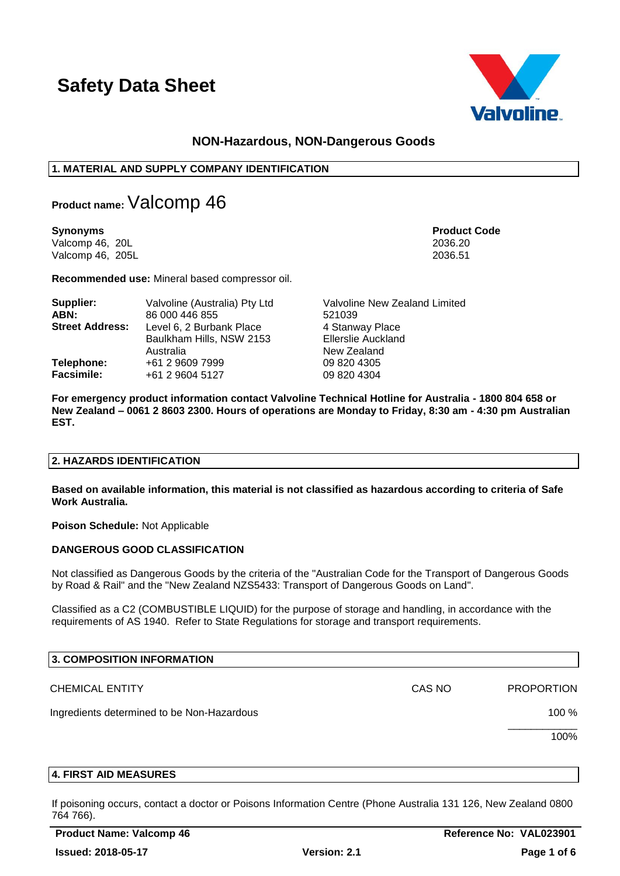

# **NON-Hazardous, NON-Dangerous Goods**

# **1. MATERIAL AND SUPPLY COMPANY IDENTIFICATION**

**Product name:**Valcomp 46

**Synonyms Product Code** Valcomp 46, 20L 2036.20 Valcomp 46, 205L

**Recommended use:** Mineral based compressor oil.

| Supplier:              | Valvoline (Australia) Pty Ltd                                     | Valvoline New Zealand Limited                               |
|------------------------|-------------------------------------------------------------------|-------------------------------------------------------------|
| ABN:                   | 86 000 446 855                                                    | 521039                                                      |
| <b>Street Address:</b> | Level 6, 2 Burbank Place<br>Baulkham Hills, NSW 2153<br>Australia | 4 Stanway Place<br><b>Ellerslie Auckland</b><br>New Zealand |
| Telephone:             | +61 2 9609 7999                                                   | 09 820 4305                                                 |
| <b>Facsimile:</b>      | +61 2 9604 5127                                                   | 09 820 4304                                                 |

**For emergency product information contact Valvoline Technical Hotline for Australia - 1800 804 658 or New Zealand – 0061 2 8603 2300. Hours of operations are Monday to Friday, 8:30 am - 4:30 pm Australian EST.**

# **2. HAZARDS IDENTIFICATION**

**Based on available information, this material is not classified as hazardous according to criteria of Safe Work Australia.**

**Poison Schedule:** Not Applicable

# **DANGEROUS GOOD CLASSIFICATION**

Not classified as Dangerous Goods by the criteria of the "Australian Code for the Transport of Dangerous Goods by Road & Rail" and the "New Zealand NZS5433: Transport of Dangerous Goods on Land".

Classified as a C2 (COMBUSTIBLE LIQUID) for the purpose of storage and handling, in accordance with the requirements of AS 1940. Refer to State Regulations for storage and transport requirements.

| <b>3. COMPOSITION INFORMATION</b>          |        |                   |
|--------------------------------------------|--------|-------------------|
| <b>CHEMICAL ENTITY</b>                     | CAS NO | <b>PROPORTION</b> |
| Ingredients determined to be Non-Hazardous |        | 100 $%$           |
|                                            |        | 100%              |

#### **4. FIRST AID MEASURES**

If poisoning occurs, contact a doctor or Poisons Information Centre (Phone Australia 131 126, New Zealand 0800 764 766).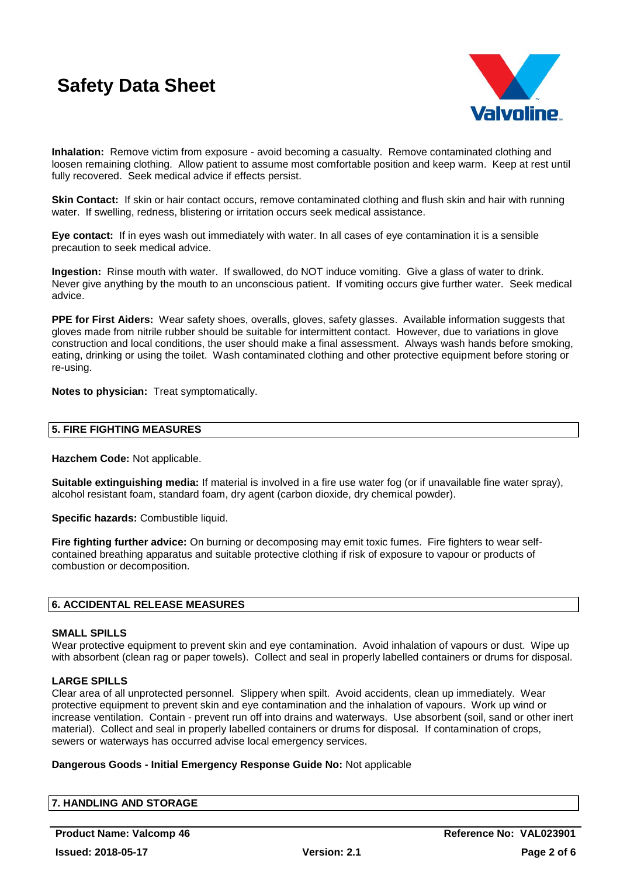

**Inhalation:** Remove victim from exposure - avoid becoming a casualty. Remove contaminated clothing and loosen remaining clothing. Allow patient to assume most comfortable position and keep warm. Keep at rest until fully recovered. Seek medical advice if effects persist.

**Skin Contact:** If skin or hair contact occurs, remove contaminated clothing and flush skin and hair with running water. If swelling, redness, blistering or irritation occurs seek medical assistance.

**Eye contact:** If in eyes wash out immediately with water. In all cases of eye contamination it is a sensible precaution to seek medical advice.

**Ingestion:** Rinse mouth with water. If swallowed, do NOT induce vomiting. Give a glass of water to drink. Never give anything by the mouth to an unconscious patient. If vomiting occurs give further water. Seek medical advice.

**PPE for First Aiders:** Wear safety shoes, overalls, gloves, safety glasses. Available information suggests that gloves made from nitrile rubber should be suitable for intermittent contact. However, due to variations in glove construction and local conditions, the user should make a final assessment. Always wash hands before smoking, eating, drinking or using the toilet. Wash contaminated clothing and other protective equipment before storing or re-using.

**Notes to physician:** Treat symptomatically.

#### **5. FIRE FIGHTING MEASURES**

**Hazchem Code:** Not applicable.

**Suitable extinguishing media:** If material is involved in a fire use water fog (or if unavailable fine water spray), alcohol resistant foam, standard foam, dry agent (carbon dioxide, dry chemical powder).

**Specific hazards:** Combustible liquid.

**Fire fighting further advice:** On burning or decomposing may emit toxic fumes. Fire fighters to wear selfcontained breathing apparatus and suitable protective clothing if risk of exposure to vapour or products of combustion or decomposition.

# **6. ACCIDENTAL RELEASE MEASURES**

#### **SMALL SPILLS**

Wear protective equipment to prevent skin and eye contamination. Avoid inhalation of vapours or dust. Wipe up with absorbent (clean rag or paper towels). Collect and seal in properly labelled containers or drums for disposal.

#### **LARGE SPILLS**

Clear area of all unprotected personnel. Slippery when spilt. Avoid accidents, clean up immediately. Wear protective equipment to prevent skin and eye contamination and the inhalation of vapours. Work up wind or increase ventilation. Contain - prevent run off into drains and waterways. Use absorbent (soil, sand or other inert material). Collect and seal in properly labelled containers or drums for disposal. If contamination of crops, sewers or waterways has occurred advise local emergency services.

#### **Dangerous Goods - Initial Emergency Response Guide No:** Not applicable

| 7. HANDLING AND STORAGE |  |  |
|-------------------------|--|--|
|                         |  |  |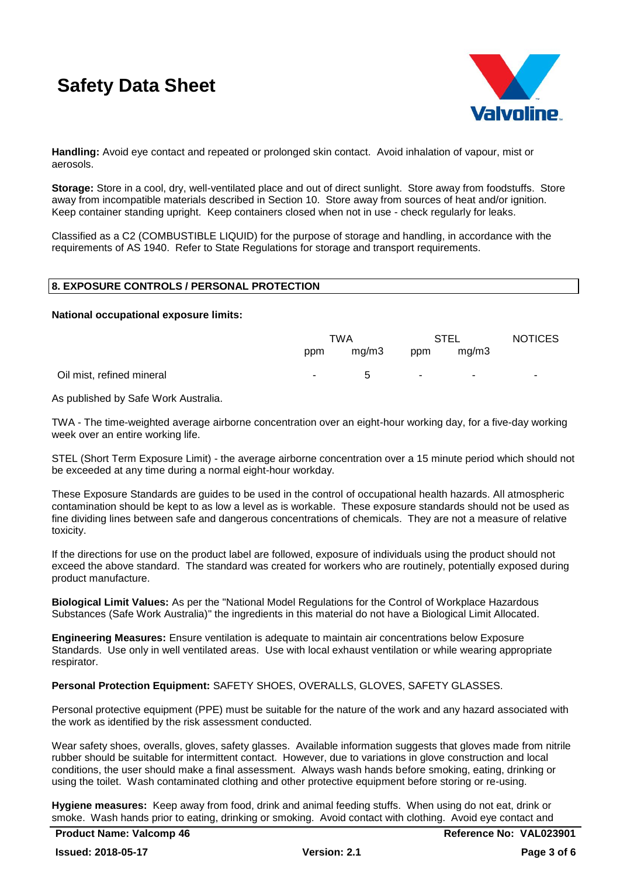

**Handling:** Avoid eye contact and repeated or prolonged skin contact. Avoid inhalation of vapour, mist or aerosols.

**Storage:** Store in a cool, dry, well-ventilated place and out of direct sunlight. Store away from foodstuffs. Store away from incompatible materials described in Section 10. Store away from sources of heat and/or ignition. Keep container standing upright. Keep containers closed when not in use - check regularly for leaks.

Classified as a C2 (COMBUSTIBLE LIQUID) for the purpose of storage and handling, in accordance with the requirements of AS 1940. Refer to State Regulations for storage and transport requirements.

#### **8. EXPOSURE CONTROLS / PERSONAL PROTECTION**

**National occupational exposure limits:**

|                           | TWA        |             | <b>STEL</b> |       | <b>NOTICES</b> |
|---------------------------|------------|-------------|-------------|-------|----------------|
|                           | ppm        | mg/m3       | ppm         | mg/m3 |                |
| Oil mist, refined mineral | $\sim 100$ | $\mathbf b$ | $\sim$      |       |                |

As published by Safe Work Australia.

TWA - The time-weighted average airborne concentration over an eight-hour working day, for a five-day working week over an entire working life.

STEL (Short Term Exposure Limit) - the average airborne concentration over a 15 minute period which should not be exceeded at any time during a normal eight-hour workday.

These Exposure Standards are guides to be used in the control of occupational health hazards. All atmospheric contamination should be kept to as low a level as is workable. These exposure standards should not be used as fine dividing lines between safe and dangerous concentrations of chemicals. They are not a measure of relative toxicity.

If the directions for use on the product label are followed, exposure of individuals using the product should not exceed the above standard. The standard was created for workers who are routinely, potentially exposed during product manufacture.

**Biological Limit Values:** As per the "National Model Regulations for the Control of Workplace Hazardous Substances (Safe Work Australia)" the ingredients in this material do not have a Biological Limit Allocated.

**Engineering Measures:** Ensure ventilation is adequate to maintain air concentrations below Exposure Standards. Use only in well ventilated areas. Use with local exhaust ventilation or while wearing appropriate respirator.

# **Personal Protection Equipment:** SAFETY SHOES, OVERALLS, GLOVES, SAFETY GLASSES.

Personal protective equipment (PPE) must be suitable for the nature of the work and any hazard associated with the work as identified by the risk assessment conducted.

Wear safety shoes, overalls, gloves, safety glasses. Available information suggests that gloves made from nitrile rubber should be suitable for intermittent contact. However, due to variations in glove construction and local conditions, the user should make a final assessment. Always wash hands before smoking, eating, drinking or using the toilet. Wash contaminated clothing and other protective equipment before storing or re-using.

**Hygiene measures:** Keep away from food, drink and animal feeding stuffs. When using do not eat, drink or smoke. Wash hands prior to eating, drinking or smoking. Avoid contact with clothing. Avoid eye contact and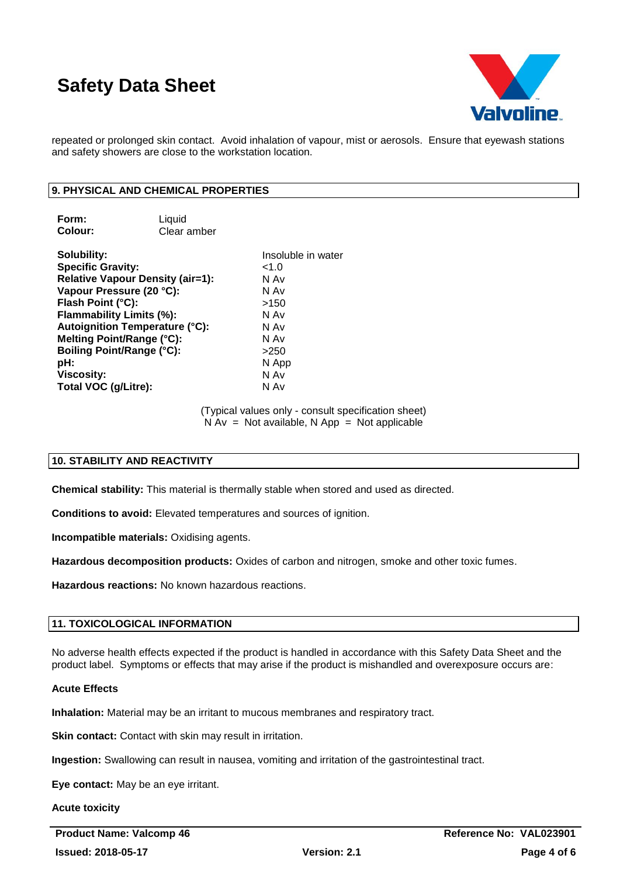

repeated or prolonged skin contact. Avoid inhalation of vapour, mist or aerosols. Ensure that eyewash stations and safety showers are close to the workstation location.

# **9. PHYSICAL AND CHEMICAL PROPERTIES**

| Form:   | Liquid      |
|---------|-------------|
| Colour: | Clear amber |

**Solubility:** Insoluble in water **Specific Gravity:**  $\leq 1.0$ **Relative Vapour Density (air=1):** N Av **Vapour Pressure (20 °C):** N Av **Flash Point (°C):** >150 **Flammability Limits (%):** N Av **Autoignition Temperature (°C):** N Av **Melting Point/Range (°C):** N Av **Boiling Point/Range (°C):** >250 **pH:** N App **Viscosity:** N Av **Total VOC (g/Litre):** N Av

> (Typical values only - consult specification sheet)  $N Av = Not available, N App = Not applicable$

# **10. STABILITY AND REACTIVITY**

**Chemical stability:** This material is thermally stable when stored and used as directed.

**Conditions to avoid:** Elevated temperatures and sources of ignition.

**Incompatible materials:** Oxidising agents.

**Hazardous decomposition products:** Oxides of carbon and nitrogen, smoke and other toxic fumes.

**Hazardous reactions:** No known hazardous reactions.

# **11. TOXICOLOGICAL INFORMATION**

No adverse health effects expected if the product is handled in accordance with this Safety Data Sheet and the product label. Symptoms or effects that may arise if the product is mishandled and overexposure occurs are:

#### **Acute Effects**

**Inhalation:** Material may be an irritant to mucous membranes and respiratory tract.

**Skin contact:** Contact with skin may result in irritation.

**Ingestion:** Swallowing can result in nausea, vomiting and irritation of the gastrointestinal tract.

**Eye contact:** May be an eye irritant.

**Acute toxicity**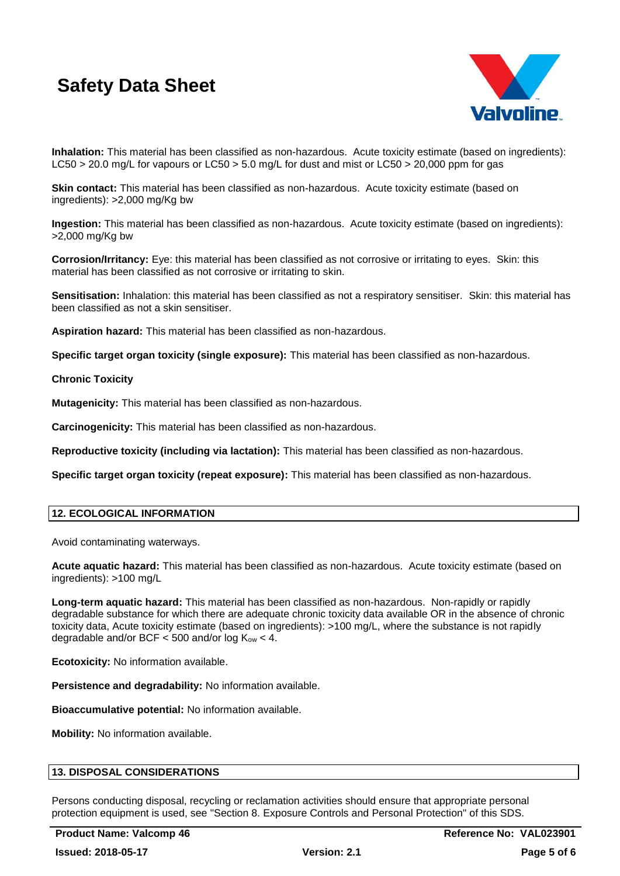

**Inhalation:** This material has been classified as non-hazardous. Acute toxicity estimate (based on ingredients): LC50 > 20.0 mg/L for vapours or LC50 > 5.0 mg/L for dust and mist or LC50 > 20,000 ppm for gas

**Skin contact:** This material has been classified as non-hazardous. Acute toxicity estimate (based on ingredients): >2,000 mg/Kg bw

**Ingestion:** This material has been classified as non-hazardous. Acute toxicity estimate (based on ingredients): >2,000 mg/Kg bw

**Corrosion/Irritancy:** Eye: this material has been classified as not corrosive or irritating to eyes. Skin: this material has been classified as not corrosive or irritating to skin.

**Sensitisation:** Inhalation: this material has been classified as not a respiratory sensitiser. Skin: this material has been classified as not a skin sensitiser.

**Aspiration hazard:** This material has been classified as non-hazardous.

**Specific target organ toxicity (single exposure):** This material has been classified as non-hazardous.

#### **Chronic Toxicity**

**Mutagenicity:** This material has been classified as non-hazardous.

**Carcinogenicity:** This material has been classified as non-hazardous.

**Reproductive toxicity (including via lactation):** This material has been classified as non-hazardous.

**Specific target organ toxicity (repeat exposure):** This material has been classified as non-hazardous.

# **12. ECOLOGICAL INFORMATION**

Avoid contaminating waterways.

**Acute aquatic hazard:** This material has been classified as non-hazardous. Acute toxicity estimate (based on ingredients): >100 mg/L

**Long-term aquatic hazard:** This material has been classified as non-hazardous. Non-rapidly or rapidly degradable substance for which there are adequate chronic toxicity data available OR in the absence of chronic toxicity data, Acute toxicity estimate (based on ingredients): >100 mg/L, where the substance is not rapidly degradable and/or BCF  $<$  500 and/or log  $K_{ow}$   $<$  4.

**Ecotoxicity:** No information available.

**Persistence and degradability:** No information available.

**Bioaccumulative potential:** No information available.

**Mobility:** No information available.

# **13. DISPOSAL CONSIDERATIONS**

Persons conducting disposal, recycling or reclamation activities should ensure that appropriate personal protection equipment is used, see "Section 8. Exposure Controls and Personal Protection" of this SDS.